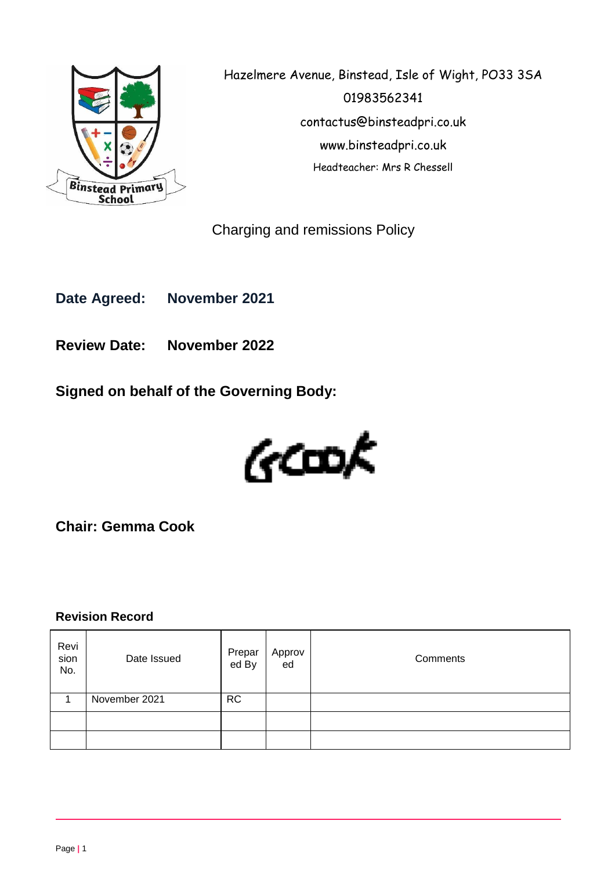

Hazelmere Avenue, Binstead, Isle of Wight, PO33 3SA 01983562341 contactus@binsteadpri.co.uk www.binsteadpri.co.uk Headteacher: Mrs R Chessell

Charging and remissions Policy

**Date Agreed: November 2021**

**Review Date: November 2022**

**Signed on behalf of the Governing Body:**



**Chair: Gemma Cook**

## **Revision Record**

| Revi<br>sion<br>No. | Date Issued   | Prepar<br>ed By | Approv<br>ed | Comments |
|---------------------|---------------|-----------------|--------------|----------|
|                     | November 2021 | <b>RC</b>       |              |          |
|                     |               |                 |              |          |
|                     |               |                 |              |          |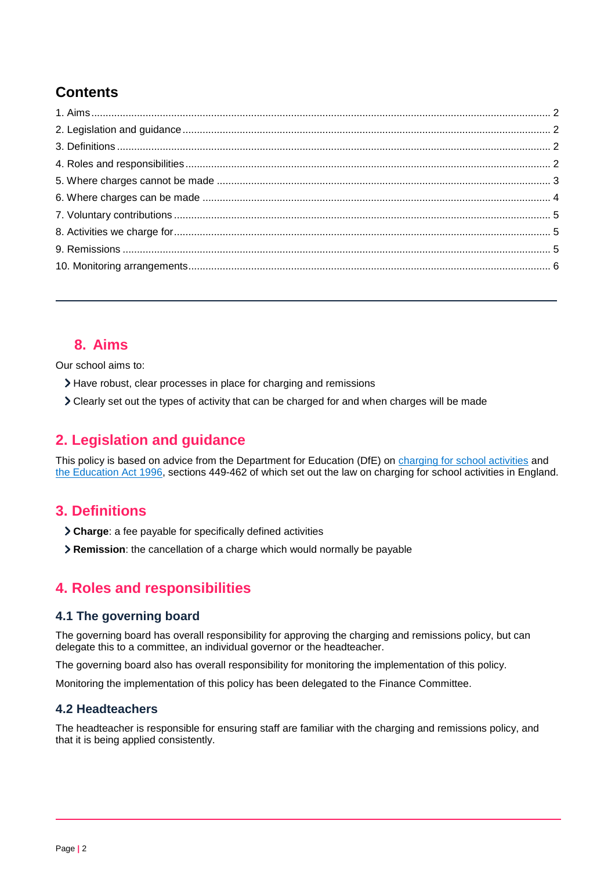# **Contents**

# <span id="page-1-0"></span>**8. Aims**

Our school aims to:

- Have robust, clear processes in place for charging and remissions
- Clearly set out the types of activity that can be charged for and when charges will be made

# <span id="page-1-1"></span>**2. Legislation and guidance**

This policy is based on advice from the Department for Education (DfE) on [charging for school activities](https://www.gov.uk/government/publications/charging-for-school-activities) and [the Education Act 1996,](http://www.legislation.gov.uk/ukpga/1996/56/part/VI/chapter/III) sections 449-462 of which set out the law on charging for school activities in England.

## <span id="page-1-2"></span>**3. Definitions**

- **Charge**: a fee payable for specifically defined activities
- **Remission**: the cancellation of a charge which would normally be payable

# <span id="page-1-3"></span>**4. Roles and responsibilities**

### **4.1 The governing board**

The governing board has overall responsibility for approving the charging and remissions policy, but can delegate this to a committee, an individual governor or the headteacher.

The governing board also has overall responsibility for monitoring the implementation of this policy.

Monitoring the implementation of this policy has been delegated to the Finance Committee.

### **4.2 Headteachers**

The headteacher is responsible for ensuring staff are familiar with the charging and remissions policy, and that it is being applied consistently.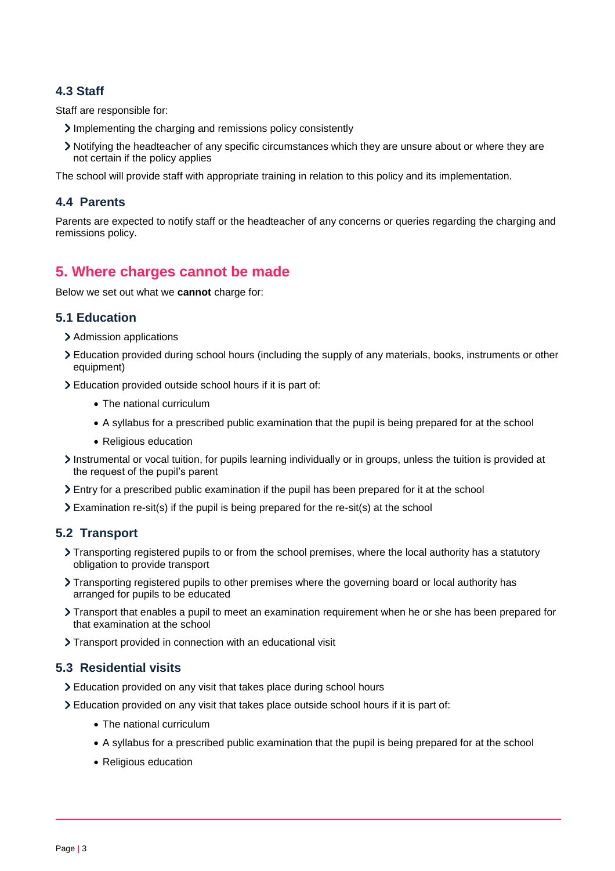### **4.3 Staff**

Staff are responsible for:

- Implementing the charging and remissions policy consistently
- Notifying the headteacher of any specific circumstances which they are unsure about or where they are not certain if the policy applies

The school will provide staff with appropriate training in relation to this policy and its implementation.

#### **4.4 Parents**

Parents are expected to notify staff or the headteacher of any concerns or queries regarding the charging and remissions policy.

## <span id="page-2-0"></span>**5. Where charges cannot be made**

Below we set out what we **cannot** charge for:

### **5.1 Education**

- > Admission applications
- Education provided during school hours (including the supply of any materials, books, instruments or other equipment)
- Education provided outside school hours if it is part of:
	- The national curriculum
	- A syllabus for a prescribed public examination that the pupil is being prepared for at the school
	- Religious education
- Instrumental or vocal tuition, for pupils learning individually or in groups, unless the tuition is provided at the request of the pupil's parent
- Entry for a prescribed public examination if the pupil has been prepared for it at the school
- $\sum$  Examination re-sit(s) if the pupil is being prepared for the re-sit(s) at the school

### **5.2 Transport**

- Transporting registered pupils to or from the school premises, where the local authority has a statutory obligation to provide transport
- > Transporting registered pupils to other premises where the governing board or local authority has arranged for pupils to be educated
- Transport that enables a pupil to meet an examination requirement when he or she has been prepared for that examination at the school
- > Transport provided in connection with an educational visit

#### **5.3 Residential visits**

- Education provided on any visit that takes place during school hours
- Education provided on any visit that takes place outside school hours if it is part of:
	- The national curriculum
	- A syllabus for a prescribed public examination that the pupil is being prepared for at the school
	- Religious education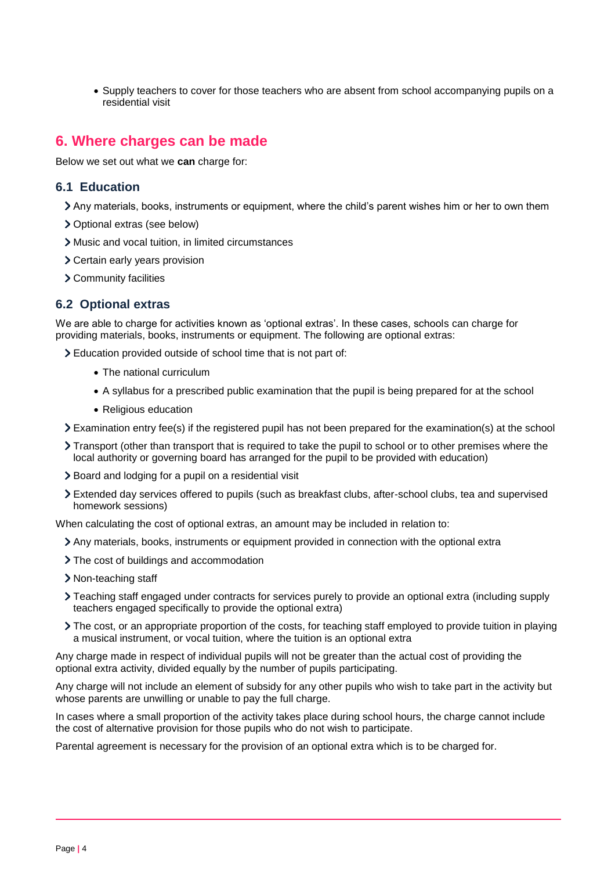• Supply teachers to cover for those teachers who are absent from school accompanying pupils on a residential visit

### <span id="page-3-0"></span>**6. Where charges can be made**

Below we set out what we **can** charge for:

#### **6.1 Education**

- Any materials, books, instruments or equipment, where the child's parent wishes him or her to own them
- Optional extras (see below)
- Music and vocal tuition, in limited circumstances
- Certain early years provision
- Community facilities

#### **6.2 Optional extras**

We are able to charge for activities known as 'optional extras'. In these cases, schools can charge for providing materials, books, instruments or equipment. The following are optional extras:

Education provided outside of school time that is not part of:

- The national curriculum
- A syllabus for a prescribed public examination that the pupil is being prepared for at the school
- Religious education
- Examination entry fee(s) if the registered pupil has not been prepared for the examination(s) at the school
- Transport (other than transport that is required to take the pupil to school or to other premises where the local authority or governing board has arranged for the pupil to be provided with education)
- Board and lodging for a pupil on a residential visit
- Extended day services offered to pupils (such as breakfast clubs, after-school clubs, tea and supervised homework sessions)

When calculating the cost of optional extras, an amount may be included in relation to:

- Any materials, books, instruments or equipment provided in connection with the optional extra
- > The cost of buildings and accommodation
- > Non-teaching staff
- Teaching staff engaged under contracts for services purely to provide an optional extra (including supply teachers engaged specifically to provide the optional extra)
- The cost, or an appropriate proportion of the costs, for teaching staff employed to provide tuition in playing a musical instrument, or vocal tuition, where the tuition is an optional extra

Any charge made in respect of individual pupils will not be greater than the actual cost of providing the optional extra activity, divided equally by the number of pupils participating.

Any charge will not include an element of subsidy for any other pupils who wish to take part in the activity but whose parents are unwilling or unable to pay the full charge.

In cases where a small proportion of the activity takes place during school hours, the charge cannot include the cost of alternative provision for those pupils who do not wish to participate.

Parental agreement is necessary for the provision of an optional extra which is to be charged for.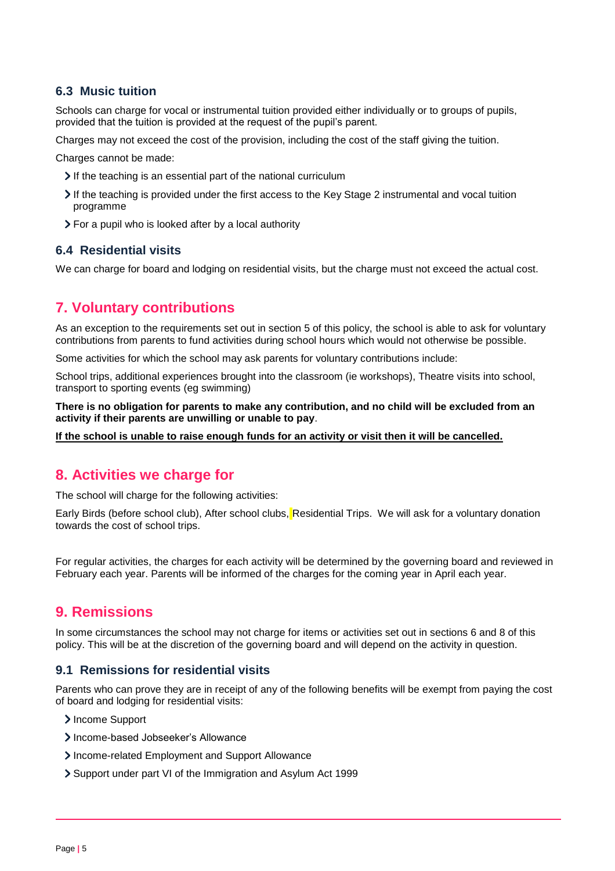#### **6.3 Music tuition**

Schools can charge for vocal or instrumental tuition provided either individually or to groups of pupils, provided that the tuition is provided at the request of the pupil's parent.

Charges may not exceed the cost of the provision, including the cost of the staff giving the tuition.

Charges cannot be made:

- If the teaching is an essential part of the national curriculum
- If the teaching is provided under the first access to the Key Stage 2 instrumental and vocal tuition programme
- For a pupil who is looked after by a local authority

#### **6.4 Residential visits**

We can charge for board and lodging on residential visits, but the charge must not exceed the actual cost.

# <span id="page-4-0"></span>**7. Voluntary contributions**

As an exception to the requirements set out in section 5 of this policy, the school is able to ask for voluntary contributions from parents to fund activities during school hours which would not otherwise be possible.

Some activities for which the school may ask parents for voluntary contributions include:

School trips, additional experiences brought into the classroom (ie workshops), Theatre visits into school, transport to sporting events (eg swimming)

**There is no obligation for parents to make any contribution, and no child will be excluded from an activity if their parents are unwilling or unable to pay**.

**If the school is unable to raise enough funds for an activity or visit then it will be cancelled.**

## <span id="page-4-1"></span>**8. Activities we charge for**

The school will charge for the following activities:

Early Birds (before school club), After school clubs, Residential Trips. We will ask for a voluntary donation towards the cost of school trips.

For regular activities, the charges for each activity will be determined by the governing board and reviewed in February each year. Parents will be informed of the charges for the coming year in April each year.

## <span id="page-4-2"></span>**9. Remissions**

In some circumstances the school may not charge for items or activities set out in sections 6 and 8 of this policy. This will be at the discretion of the governing board and will depend on the activity in question.

#### **9.1 Remissions for residential visits**

Parents who can prove they are in receipt of any of the following benefits will be exempt from paying the cost of board and lodging for residential visits:

> Income Support

- > Income-based Jobseeker's Allowance
- Income-related Employment and Support Allowance
- Support under part VI of the Immigration and Asylum Act 1999